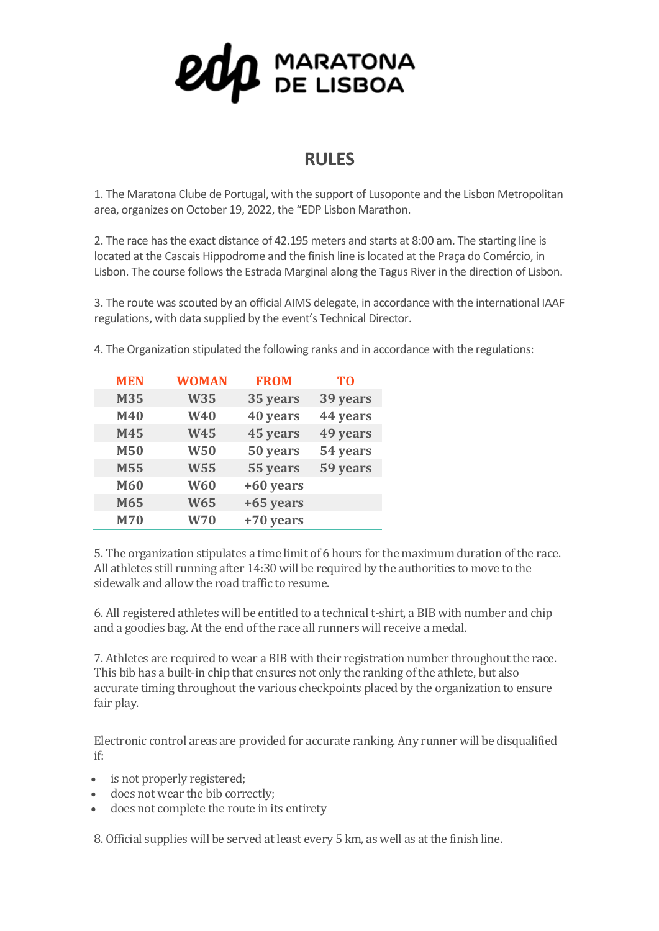## $\mathbf{Q} \mathbf{Q} \mathbf{p}$  maratona

## **RULES**

1. The Maratona Clube de Portugal, with the support of Lusoponte and the Lisbon Metropolitan area, organizes on October 19, 2022, the "EDP Lisbon Marathon.

2. The race has the exact distance of 42.195 meters and starts at 8:00 am. The starting line is located at the Cascais Hippodrome and the finish line is located at the Praça do Comércio, in Lisbon. The course follows the Estrada Marginal along the Tagus River in the direction of Lisbon.

3. The route was scouted by an official AIMS delegate, in accordance with the international IAAF regulations, with data supplied by the event's Technical Director.

| <b>MEN</b> | <b>WOMAN</b> | <b>FROM</b> | T <sub>0</sub> |
|------------|--------------|-------------|----------------|
| M35        | <b>W35</b>   | 35 years    | 39 years       |
| M40        | W40          | 40 years    | 44 years       |
| M45        | <b>W45</b>   | 45 years    | 49 years       |
| <b>M50</b> | <b>W50</b>   | 50 years    | 54 years       |
| <b>M55</b> | <b>W55</b>   | 55 years    | 59 years       |
| M60        | <b>W60</b>   | +60 years   |                |
| M65        | <b>W65</b>   | +65 years   |                |
| <b>M70</b> | <b>W70</b>   | +70 years   |                |

4. The Organization stipulated the following ranks and in accordance with the regulations:

5. The organization stipulates a time limit of 6 hours for the maximum duration of the race. All athletes still running after 14:30 will be required by the authorities to move to the sidewalk and allow the road traffic to resume.

6. All registered athletes will be entitled to a technical t-shirt, a BIB with number and chip and a goodies bag. At the end of the race all runners will receive a medal.

7. Athletes are required to wear a BIB with their registration number throughout the race. This bib has a built-in chip that ensures not only the ranking of the athlete, but also accurate timing throughout the various checkpoints placed by the organization to ensure fair play.

Electronic control areas are provided for accurate ranking. Any runner will be disqualified if:

- is not properly registered;
- does not wear the bib correctly;
- does not complete the route in its entirety

8. Official supplies will be served at least every 5 km, as well as at the finish line.